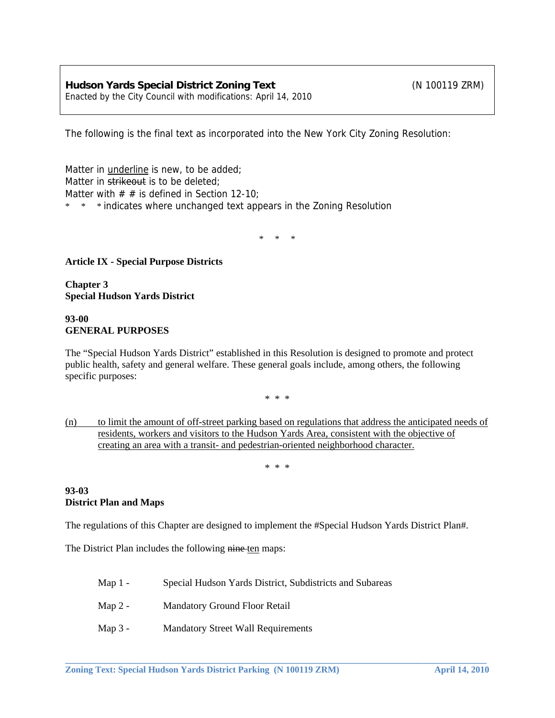The following is the final text as incorporated into the New York City Zoning Resolution:

Matter in underline is new, to be added; Matter in strikeout is to be deleted: Matter with  $# #$  is defined in Section 12-10; \* \* \* indicates where unchanged text appears in the Zoning Resolution

\* \* \*

### **Article IX - Special Purpose Districts**

**Chapter 3 Special Hudson Yards District** 

### **93-00 GENERAL PURPOSES**

The "Special Hudson Yards District" established in this Resolution is designed to promote and protect public health, safety and general welfare. These general goals include, among others, the following specific purposes:

\* \* \*

(n) to limit the amount of off-street parking based on regulations that address the anticipated needs of residents, workers and visitors to the Hudson Yards Area, consistent with the objective of creating an area with a transit- and pedestrian-oriented neighborhood character.

\* \* \*

### **93-03 District Plan and Maps**

The regulations of this Chapter are designed to implement the #Special Hudson Yards District Plan#.

**\_\_\_\_\_\_\_\_\_\_\_\_\_\_\_\_\_\_\_\_\_\_\_\_\_\_\_\_\_\_\_\_\_\_\_\_\_\_\_\_\_\_\_\_\_\_\_\_\_\_\_\_\_\_\_\_\_\_\_\_\_\_\_\_\_\_\_\_\_\_\_\_\_\_\_\_\_\_\_\_\_\_\_\_\_\_\_\_\_\_\_\_\_** 

The District Plan includes the following nine ten maps:

- Map 1 Special Hudson Yards District, Subdistricts and Subareas
- Map 2 Mandatory Ground Floor Retail
- Map 3 Mandatory Street Wall Requirements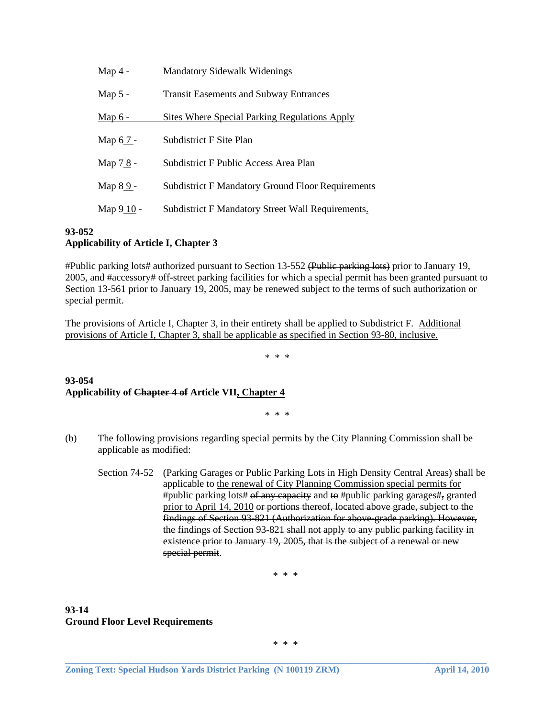| Map $4 -$      | <b>Mandatory Sidewalk Widenings</b>                      |  |  |
|----------------|----------------------------------------------------------|--|--|
| Map $5 -$      | <b>Transit Easements and Subway Entrances</b>            |  |  |
| <u>Map 6 -</u> | <b>Sites Where Special Parking Regulations Apply</b>     |  |  |
| Map 67 -       | Subdistrict F Site Plan                                  |  |  |
| Map 78 -       | Subdistrict F Public Access Area Plan                    |  |  |
| Map 89-        | <b>Subdistrict F Mandatory Ground Floor Requirements</b> |  |  |
| Map 9 10 -     | Subdistrict F Mandatory Street Wall Requirements.        |  |  |

### **93-052 Applicability of Article I, Chapter 3**

#Public parking lots# authorized pursuant to Section 13-552 (Public parking lots) prior to January 19, 2005, and #accessory# off-street parking facilities for which a special permit has been granted pursuant to Section 13-561 prior to January 19, 2005, may be renewed subject to the terms of such authorization or special permit.

The provisions of Article I, Chapter 3, in their entirety shall be applied to Subdistrict F. Additional provisions of Article I, Chapter 3, shall be applicable as specified in Section 93-80, inclusive.

\* \* \*

### **93-054 Applicability of Chapter 4 of Article VII, Chapter 4**

\* \* \*

- (b) The following provisions regarding special permits by the City Planning Commission shall be applicable as modified:
	- Section 74-52 (Parking Garages or Public Parking Lots in High Density Central Areas) shall be applicable to the renewal of City Planning Commission special permits for #public parking lots# of any capacity and to #public parking garages#, granted prior to April 14, 2010 or portions thereof, located above grade, subject to the findings of Section 93-821 (Authorization for above-grade parking). However, the findings of Section 93-821 shall not apply to any public parking facility in existence prior to January 19, 2005, that is the subject of a renewal or new special permit.

\* \* \*

### **93-14 Ground Floor Level Requirements**

\* \* \*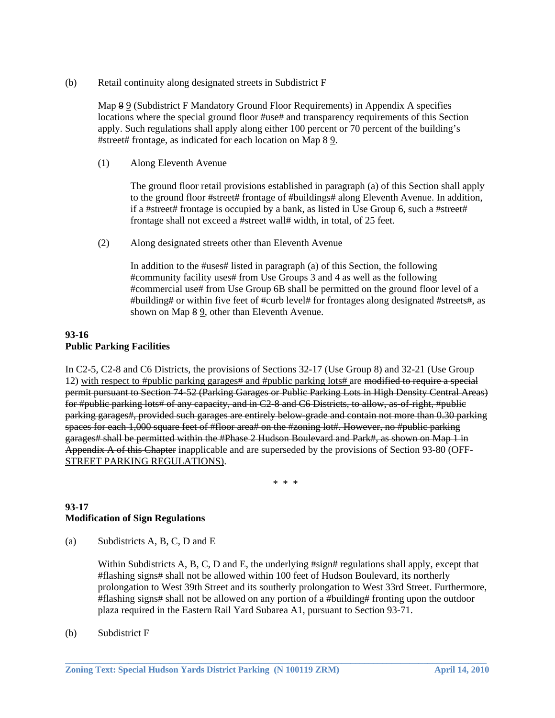(b) Retail continuity along designated streets in Subdistrict F

 Map 8 9 (Subdistrict F Mandatory Ground Floor Requirements) in Appendix A specifies locations where the special ground floor #use# and transparency requirements of this Section apply. Such regulations shall apply along either 100 percent or 70 percent of the building's #street# frontage, as indicated for each location on Map 8 9.

(1) Along Eleventh Avenue

 The ground floor retail provisions established in paragraph (a) of this Section shall apply to the ground floor #street# frontage of #buildings# along Eleventh Avenue. In addition, if a #street# frontage is occupied by a bank, as listed in Use Group 6, such a #street# frontage shall not exceed a #street wall# width, in total, of 25 feet.

(2) Along designated streets other than Eleventh Avenue

 In addition to the #uses# listed in paragraph (a) of this Section, the following #community facility uses# from Use Groups 3 and 4 as well as the following #commercial use# from Use Group 6B shall be permitted on the ground floor level of a #building# or within five feet of #curb level# for frontages along designated #streets#, as shown on Map 8 9, other than Eleventh Avenue.

### **93-16 Public Parking Facilities**

In C2-5, C2-8 and C6 Districts, the provisions of Sections 32-17 (Use Group 8) and 32-21 (Use Group 12) with respect to #public parking garages# and #public parking lots# are modified to require a special permit pursuant to Section 74-52 (Parking Garages or Public Parking Lots in High Density Central Areas) for #public parking lots# of any capacity, and in C2-8 and C6 Districts, to allow, as of right, #public parking garages#, provided such garages are entirely below-grade and contain not more than 0.30 parking spaces for each 1,000 square feet of #floor area# on the #zoning lot#. However, no #public parking garages# shall be permitted within the #Phase 2 Hudson Boulevard and Park#, as shown on Map 1 in Appendix A of this Chapter inapplicable and are superseded by the provisions of Section 93-80 (OFF-STREET PARKING REGULATIONS).

\* \* \*

# **93-17 Modification of Sign Regulations**

(a) Subdistricts A, B, C, D and E

Within Subdistricts A, B, C, D and E, the underlying #sign# regulations shall apply, except that #flashing signs# shall not be allowed within 100 feet of Hudson Boulevard, its northerly prolongation to West 39th Street and its southerly prolongation to West 33rd Street. Furthermore, #flashing signs# shall not be allowed on any portion of a #building# fronting upon the outdoor plaza required in the Eastern Rail Yard Subarea A1, pursuant to Section 93-71.

**\_\_\_\_\_\_\_\_\_\_\_\_\_\_\_\_\_\_\_\_\_\_\_\_\_\_\_\_\_\_\_\_\_\_\_\_\_\_\_\_\_\_\_\_\_\_\_\_\_\_\_\_\_\_\_\_\_\_\_\_\_\_\_\_\_\_\_\_\_\_\_\_\_\_\_\_\_\_\_\_\_\_\_\_\_\_\_\_\_\_\_\_\_** 

(b) Subdistrict F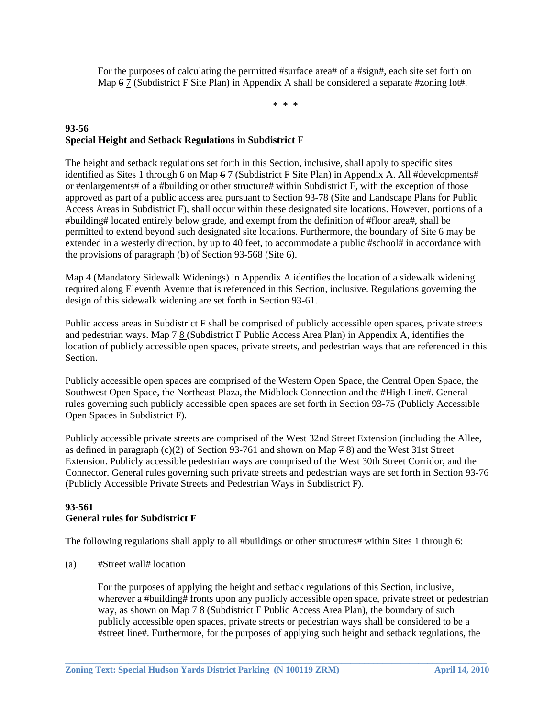For the purposes of calculating the permitted #surface area# of a #sign#, each site set forth on Map  $67$  (Subdistrict F Site Plan) in Appendix A shall be considered a separate #zoning lot#.

\* \* \*

# **93-56 Special Height and Setback Regulations in Subdistrict F**

The height and setback regulations set forth in this Section, inclusive, shall apply to specific sites identified as Sites 1 through 6 on Map 6 7 (Subdistrict F Site Plan) in Appendix A. All #developments# or #enlargements# of a #building or other structure# within Subdistrict F, with the exception of those approved as part of a public access area pursuant to Section 93-78 (Site and Landscape Plans for Public Access Areas in Subdistrict F), shall occur within these designated site locations. However, portions of a #building# located entirely below grade, and exempt from the definition of #floor area#, shall be permitted to extend beyond such designated site locations. Furthermore, the boundary of Site 6 may be extended in a westerly direction, by up to 40 feet, to accommodate a public #school# in accordance with the provisions of paragraph (b) of Section 93-568 (Site 6).

Map 4 (Mandatory Sidewalk Widenings) in Appendix A identifies the location of a sidewalk widening required along Eleventh Avenue that is referenced in this Section, inclusive. Regulations governing the design of this sidewalk widening are set forth in Section 93-61.

Public access areas in Subdistrict F shall be comprised of publicly accessible open spaces, private streets and pedestrian ways. Map 7 8 (Subdistrict F Public Access Area Plan) in Appendix A, identifies the location of publicly accessible open spaces, private streets, and pedestrian ways that are referenced in this Section.

Publicly accessible open spaces are comprised of the Western Open Space, the Central Open Space, the Southwest Open Space, the Northeast Plaza, the Midblock Connection and the #High Line#. General rules governing such publicly accessible open spaces are set forth in Section 93-75 (Publicly Accessible Open Spaces in Subdistrict F).

Publicly accessible private streets are comprised of the West 32nd Street Extension (including the Allee, as defined in paragraph (c)(2) of Section 93-761 and shown on Map 7 8) and the West 31st Street Extension. Publicly accessible pedestrian ways are comprised of the West 30th Street Corridor, and the Connector. General rules governing such private streets and pedestrian ways are set forth in Section 93-76 (Publicly Accessible Private Streets and Pedestrian Ways in Subdistrict F).

# **93-561 General rules for Subdistrict F**

The following regulations shall apply to all #buildings or other structures# within Sites 1 through 6:

(a) #Street wall# location

 For the purposes of applying the height and setback regulations of this Section, inclusive, wherever a #building# fronts upon any publicly accessible open space, private street or pedestrian way, as shown on Map 7 8 (Subdistrict F Public Access Area Plan), the boundary of such publicly accessible open spaces, private streets or pedestrian ways shall be considered to be a #street line#. Furthermore, for the purposes of applying such height and setback regulations, the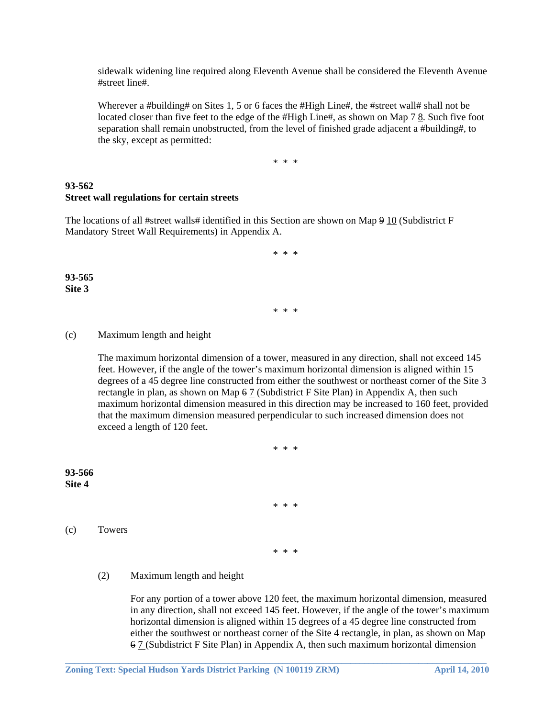sidewalk widening line required along Eleventh Avenue shall be considered the Eleventh Avenue #street line#.

Wherever a #building# on Sites 1, 5 or 6 faces the #High Line#, the #street wall# shall not be located closer than five feet to the edge of the  $#High Line#,$  as shown on Map  $78$ . Such five foot separation shall remain unobstructed, from the level of finished grade adjacent a #building#, to the sky, except as permitted:

\* \* \*

### **93-562 Street wall regulations for certain streets**

The locations of all #street walls# identified in this Section are shown on Map 9 10 (Subdistrict F Mandatory Street Wall Requirements) in Appendix A.

\* \* \*

\* \* \*

**93-565 Site 3** 

#### (c) Maximum length and height

 The maximum horizontal dimension of a tower, measured in any direction, shall not exceed 145 feet. However, if the angle of the tower's maximum horizontal dimension is aligned within 15 degrees of a 45 degree line constructed from either the southwest or northeast corner of the Site 3 rectangle in plan, as shown on Map  $67$  (Subdistrict F Site Plan) in Appendix A, then such maximum horizontal dimension measured in this direction may be increased to 160 feet, provided that the maximum dimension measured perpendicular to such increased dimension does not exceed a length of 120 feet.

\* \* \*

\* \* \*

**93-566 Site 4** 

(c) Towers

\* \* \*

**\_\_\_\_\_\_\_\_\_\_\_\_\_\_\_\_\_\_\_\_\_\_\_\_\_\_\_\_\_\_\_\_\_\_\_\_\_\_\_\_\_\_\_\_\_\_\_\_\_\_\_\_\_\_\_\_\_\_\_\_\_\_\_\_\_\_\_\_\_\_\_\_\_\_\_\_\_\_\_\_\_\_\_\_\_\_\_\_\_\_\_\_\_** 

### (2) Maximum length and height

 For any portion of a tower above 120 feet, the maximum horizontal dimension, measured in any direction, shall not exceed 145 feet. However, if the angle of the tower's maximum horizontal dimension is aligned within 15 degrees of a 45 degree line constructed from either the southwest or northeast corner of the Site 4 rectangle, in plan, as shown on Map 6 7 (Subdistrict F Site Plan) in Appendix A, then such maximum horizontal dimension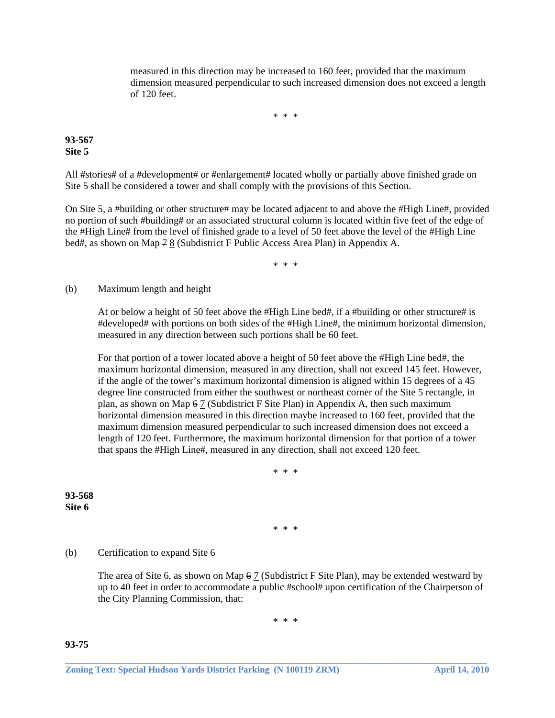measured in this direction may be increased to 160 feet, provided that the maximum dimension measured perpendicular to such increased dimension does not exceed a length of 120 feet.

\* \* \*

### **93-567 Site 5**

All #stories# of a #development# or #enlargement# located wholly or partially above finished grade on Site 5 shall be considered a tower and shall comply with the provisions of this Section.

On Site 5, a #building or other structure# may be located adjacent to and above the #High Line#, provided no portion of such #building# or an associated structural column is located within five feet of the edge of the #High Line# from the level of finished grade to a level of 50 feet above the level of the #High Line bed#, as shown on Map 7 8 (Subdistrict F Public Access Area Plan) in Appendix A.

\* \* \*

(b) Maximum length and height

 At or below a height of 50 feet above the #High Line bed#, if a #building or other structure# is #developed# with portions on both sides of the #High Line#, the minimum horizontal dimension, measured in any direction between such portions shall be 60 feet.

 For that portion of a tower located above a height of 50 feet above the #High Line bed#, the maximum horizontal dimension, measured in any direction, shall not exceed 145 feet. However, if the angle of the tower's maximum horizontal dimension is aligned within 15 degrees of a 45 degree line constructed from either the southwest or northeast corner of the Site 5 rectangle, in plan, as shown on Map  $67$  (Subdistrict F Site Plan) in Appendix A, then such maximum horizontal dimension measured in this direction maybe increased to 160 feet, provided that the maximum dimension measured perpendicular to such increased dimension does not exceed a length of 120 feet. Furthermore, the maximum horizontal dimension for that portion of a tower that spans the #High Line#, measured in any direction, shall not exceed 120 feet.

\* \* \*

**93-568 Site 6** 

\* \* \*

#### (b) Certification to expand Site 6

 The area of Site 6, as shown on Map 6 7 (Subdistrict F Site Plan), may be extended westward by up to 40 feet in order to accommodate a public #school# upon certification of the Chairperson of the City Planning Commission, that:

\* \* \*

**\_\_\_\_\_\_\_\_\_\_\_\_\_\_\_\_\_\_\_\_\_\_\_\_\_\_\_\_\_\_\_\_\_\_\_\_\_\_\_\_\_\_\_\_\_\_\_\_\_\_\_\_\_\_\_\_\_\_\_\_\_\_\_\_\_\_\_\_\_\_\_\_\_\_\_\_\_\_\_\_\_\_\_\_\_\_\_\_\_\_\_\_\_** 

**93-75**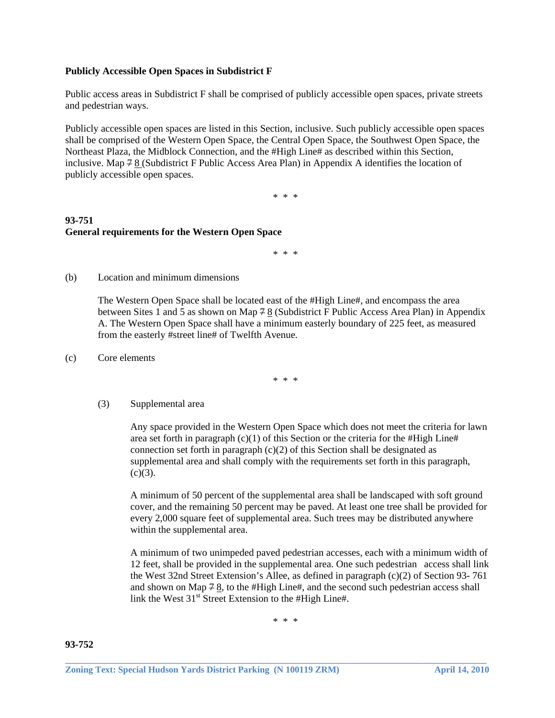### **Publicly Accessible Open Spaces in Subdistrict F**

Public access areas in Subdistrict F shall be comprised of publicly accessible open spaces, private streets and pedestrian ways.

Publicly accessible open spaces are listed in this Section, inclusive. Such publicly accessible open spaces shall be comprised of the Western Open Space, the Central Open Space, the Southwest Open Space, the Northeast Plaza, the Midblock Connection, and the #High Line# as described within this Section, inclusive. Map  $78$  (Subdistrict F Public Access Area Plan) in Appendix A identifies the location of publicly accessible open spaces.

\* \* \*

# **93-751 General requirements for the Western Open Space**

\* \* \*

(b) Location and minimum dimensions

 The Western Open Space shall be located east of the #High Line#, and encompass the area between Sites 1 and 5 as shown on Map  $78$  (Subdistrict F Public Access Area Plan) in Appendix A. The Western Open Space shall have a minimum easterly boundary of 225 feet, as measured from the easterly #street line# of Twelfth Avenue.

(c) Core elements

\* \* \*

(3) Supplemental area

 Any space provided in the Western Open Space which does not meet the criteria for lawn area set forth in paragraph  $(c)(1)$  of this Section or the criteria for the #High Line# connection set forth in paragraph  $(c)(2)$  of this Section shall be designated as supplemental area and shall comply with the requirements set forth in this paragraph,  $(c)(3)$ .

 A minimum of 50 percent of the supplemental area shall be landscaped with soft ground cover, and the remaining 50 percent may be paved. At least one tree shall be provided for every 2,000 square feet of supplemental area. Such trees may be distributed anywhere within the supplemental area.

 A minimum of two unimpeded paved pedestrian accesses, each with a minimum width of 12 feet, shall be provided in the supplemental area. One such pedestrian access shall link the West 32nd Street Extension's Allee, as defined in paragraph (c)(2) of Section 93- 761 and shown on Map  $78$ , to the #High Line#, and the second such pedestrian access shall link the West  $31<sup>st</sup>$  Street Extension to the #High Line#.

\* \* \*

**93-752**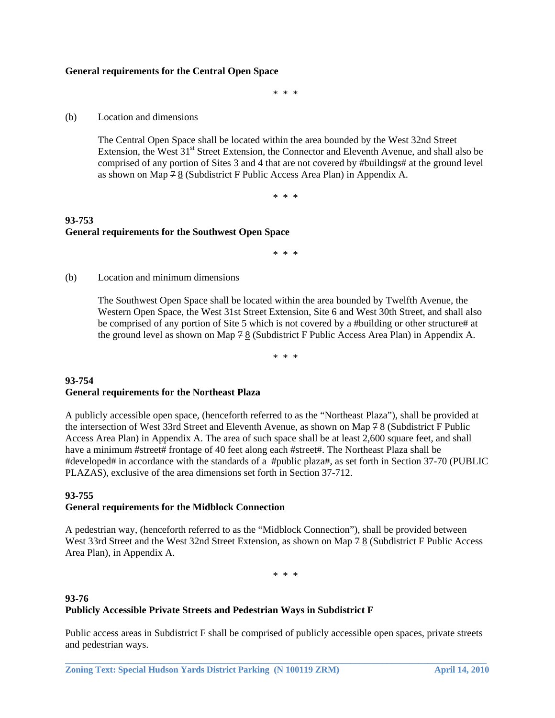#### **General requirements for the Central Open Space**

\* \* \*

(b) Location and dimensions

 The Central Open Space shall be located within the area bounded by the West 32nd Street Extension, the West  $31<sup>st</sup>$  Street Extension, the Connector and Eleventh Avenue, and shall also be comprised of any portion of Sites 3 and 4 that are not covered by #buildings# at the ground level as shown on Map  $78$  (Subdistrict F Public Access Area Plan) in Appendix A.

\* \* \*

# **93-753 General requirements for the Southwest Open Space**

\* \* \*

(b) Location and minimum dimensions

 The Southwest Open Space shall be located within the area bounded by Twelfth Avenue, the Western Open Space, the West 31st Street Extension, Site 6 and West 30th Street, and shall also be comprised of any portion of Site 5 which is not covered by a #building or other structure# at the ground level as shown on Map 7 8 (Subdistrict F Public Access Area Plan) in Appendix A.

\* \* \*

### **93-754 General requirements for the Northeast Plaza**

A publicly accessible open space, (henceforth referred to as the "Northeast Plaza"), shall be provided at the intersection of West 33rd Street and Eleventh Avenue, as shown on Map 7 8 (Subdistrict F Public Access Area Plan) in Appendix A. The area of such space shall be at least 2,600 square feet, and shall have a minimum #street# frontage of 40 feet along each #street#. The Northeast Plaza shall be #developed# in accordance with the standards of a #public plaza#, as set forth in Section 37-70 (PUBLIC PLAZAS), exclusive of the area dimensions set forth in Section 37-712.

#### **93-755 General requirements for the Midblock Connection**

A pedestrian way, (henceforth referred to as the "Midblock Connection"), shall be provided between West 33rd Street and the West 32nd Street Extension, as shown on Map 7 8 (Subdistrict F Public Access Area Plan), in Appendix A.

\* \* \*

# **93-76 Publicly Accessible Private Streets and Pedestrian Ways in Subdistrict F**

Public access areas in Subdistrict F shall be comprised of publicly accessible open spaces, private streets and pedestrian ways.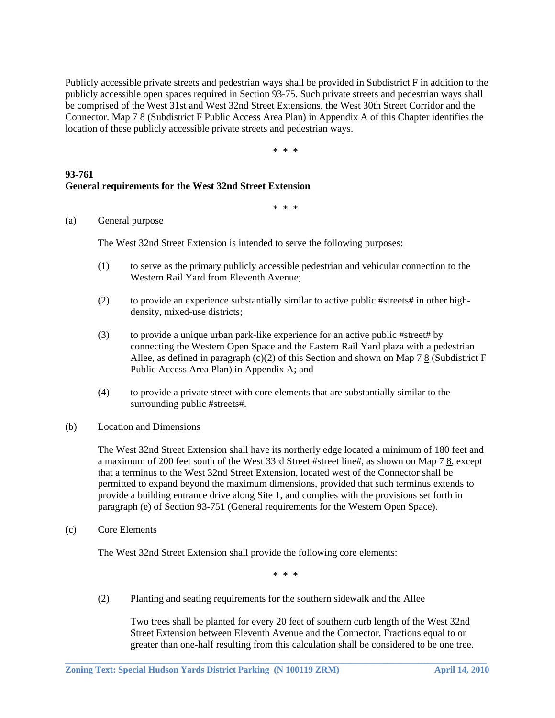Publicly accessible private streets and pedestrian ways shall be provided in Subdistrict F in addition to the publicly accessible open spaces required in Section 93-75. Such private streets and pedestrian ways shall be comprised of the West 31st and West 32nd Street Extensions, the West 30th Street Corridor and the Connector. Map 7 8 (Subdistrict F Public Access Area Plan) in Appendix A of this Chapter identifies the location of these publicly accessible private streets and pedestrian ways.

\* \* \*

### **93-761 General requirements for the West 32nd Street Extension**

\* \* \*

### (a) General purpose

The West 32nd Street Extension is intended to serve the following purposes:

- (1) to serve as the primary publicly accessible pedestrian and vehicular connection to the Western Rail Yard from Eleventh Avenue;
- (2) to provide an experience substantially similar to active public #streets# in other high density, mixed-use districts;
- (3) to provide a unique urban park-like experience for an active public #street# by connecting the Western Open Space and the Eastern Rail Yard plaza with a pedestrian Allee, as defined in paragraph (c)(2) of this Section and shown on Map  $78/$  (Subdistrict F Public Access Area Plan) in Appendix A; and
- (4) to provide a private street with core elements that are substantially similar to the surrounding public #streets#.
- (b) Location and Dimensions

 The West 32nd Street Extension shall have its northerly edge located a minimum of 180 feet and a maximum of 200 feet south of the West 33rd Street #street line#, as shown on Map 7 8, except that a terminus to the West 32nd Street Extension, located west of the Connector shall be permitted to expand beyond the maximum dimensions, provided that such terminus extends to provide a building entrance drive along Site 1, and complies with the provisions set forth in paragraph (e) of Section 93-751 (General requirements for the Western Open Space).

(c) Core Elements

The West 32nd Street Extension shall provide the following core elements:

\* \* \*

**\_\_\_\_\_\_\_\_\_\_\_\_\_\_\_\_\_\_\_\_\_\_\_\_\_\_\_\_\_\_\_\_\_\_\_\_\_\_\_\_\_\_\_\_\_\_\_\_\_\_\_\_\_\_\_\_\_\_\_\_\_\_\_\_\_\_\_\_\_\_\_\_\_\_\_\_\_\_\_\_\_\_\_\_\_\_\_\_\_\_\_\_\_** 

(2) Planting and seating requirements for the southern sidewalk and the Allee

 Two trees shall be planted for every 20 feet of southern curb length of the West 32nd Street Extension between Eleventh Avenue and the Connector. Fractions equal to or greater than one-half resulting from this calculation shall be considered to be one tree.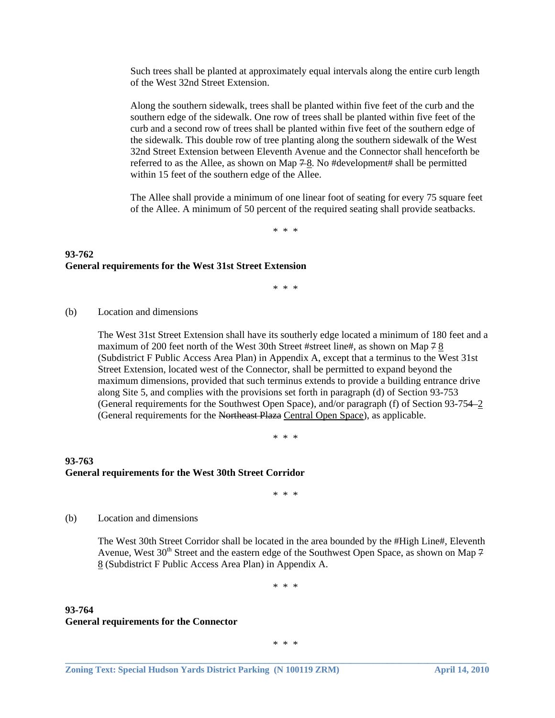Such trees shall be planted at approximately equal intervals along the entire curb length of the West 32nd Street Extension.

 Along the southern sidewalk, trees shall be planted within five feet of the curb and the southern edge of the sidewalk. One row of trees shall be planted within five feet of the curb and a second row of trees shall be planted within five feet of the southern edge of the sidewalk. This double row of tree planting along the southern sidewalk of the West 32nd Street Extension between Eleventh Avenue and the Connector shall henceforth be referred to as the Allee, as shown on Map  $7-8$ . No #development# shall be permitted within 15 feet of the southern edge of the Allee.

 The Allee shall provide a minimum of one linear foot of seating for every 75 square feet of the Allee. A minimum of 50 percent of the required seating shall provide seatbacks.

\* \* \*

### **93-762 General requirements for the West 31st Street Extension**

\* \* \*

(b) Location and dimensions

 The West 31st Street Extension shall have its southerly edge located a minimum of 180 feet and a maximum of 200 feet north of the West 30th Street #street line#, as shown on Map 7 8 (Subdistrict F Public Access Area Plan) in Appendix A, except that a terminus to the West 31st Street Extension, located west of the Connector, shall be permitted to expand beyond the maximum dimensions, provided that such terminus extends to provide a building entrance drive along Site 5, and complies with the provisions set forth in paragraph (d) of Section 93-753 (General requirements for the Southwest Open Space), and/or paragraph (f) of Section 93-754 2 (General requirements for the Northeast Plaza Central Open Space), as applicable.

\* \* \*

# **93-763 General requirements for the West 30th Street Corridor**

\* \* \*

(b) Location and dimensions

 The West 30th Street Corridor shall be located in the area bounded by the #High Line#, Eleventh Avenue, West 30<sup>th</sup> Street and the eastern edge of the Southwest Open Space, as shown on Map 7 8 (Subdistrict F Public Access Area Plan) in Appendix A.

\* \* \*

### **93-764 General requirements for the Connector**

\* \* \*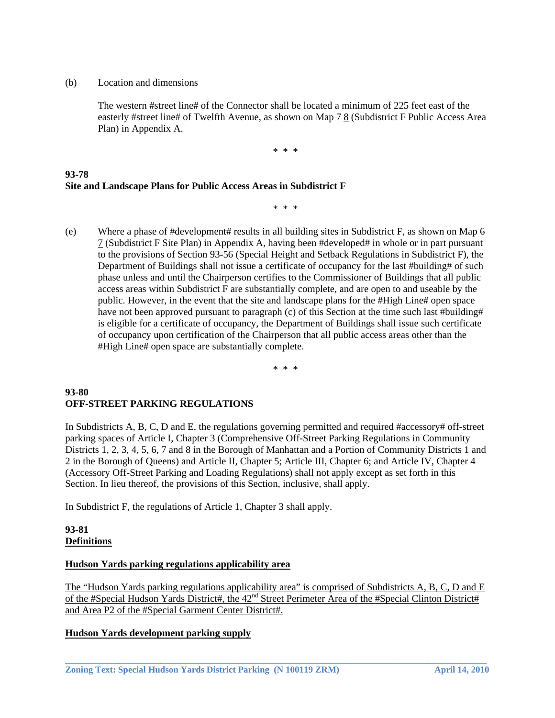(b) Location and dimensions

 The western #street line# of the Connector shall be located a minimum of 225 feet east of the easterly #street line# of Twelfth Avenue, as shown on Map 7 8 (Subdistrict F Public Access Area Plan) in Appendix A.

\* \* \*

# **93-78 Site and Landscape Plans for Public Access Areas in Subdistrict F**

\* \* \*

(e) Where a phase of #development# results in all building sites in Subdistrict F, as shown on Map  $6$ 7 (Subdistrict F Site Plan) in Appendix A, having been #developed# in whole or in part pursuant to the provisions of Section 93-56 (Special Height and Setback Regulations in Subdistrict F), the Department of Buildings shall not issue a certificate of occupancy for the last #building# of such phase unless and until the Chairperson certifies to the Commissioner of Buildings that all public access areas within Subdistrict F are substantially complete, and are open to and useable by the public. However, in the event that the site and landscape plans for the #High Line# open space have not been approved pursuant to paragraph (c) of this Section at the time such last #building# is eligible for a certificate of occupancy, the Department of Buildings shall issue such certificate of occupancy upon certification of the Chairperson that all public access areas other than the #High Line# open space are substantially complete.

\* \* \*

### **93-80 OFF-STREET PARKING REGULATIONS**

In Subdistricts A, B, C, D and E, the regulations governing permitted and required #accessory# off-street parking spaces of Article I, Chapter 3 (Comprehensive Off-Street Parking Regulations in Community Districts 1, 2, 3, 4, 5, 6, 7 and 8 in the Borough of Manhattan and a Portion of Community Districts 1 and 2 in the Borough of Queens) and Article II, Chapter 5; Article III, Chapter 6; and Article IV, Chapter 4 (Accessory Off-Street Parking and Loading Regulations) shall not apply except as set forth in this Section. In lieu thereof, the provisions of this Section, inclusive, shall apply.

In Subdistrict F, the regulations of Article 1, Chapter 3 shall apply.

### **93-81 Definitions**

# **Hudson Yards parking regulations applicability area**

The "Hudson Yards parking regulations applicability area" is comprised of Subdistricts A, B, C, D and E of the #Special Hudson Yards District#, the 42<sup>nd</sup> Street Perimeter Area of the #Special Clinton District# and Area P2 of the #Special Garment Center District#.

**\_\_\_\_\_\_\_\_\_\_\_\_\_\_\_\_\_\_\_\_\_\_\_\_\_\_\_\_\_\_\_\_\_\_\_\_\_\_\_\_\_\_\_\_\_\_\_\_\_\_\_\_\_\_\_\_\_\_\_\_\_\_\_\_\_\_\_\_\_\_\_\_\_\_\_\_\_\_\_\_\_\_\_\_\_\_\_\_\_\_\_\_\_** 

# **Hudson Yards development parking supply**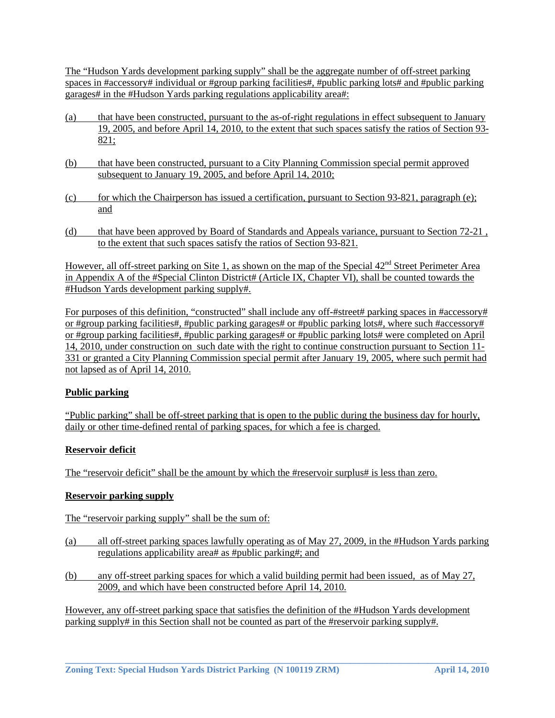The "Hudson Yards development parking supply" shall be the aggregate number of off-street parking spaces in #accessory# individual or #group parking facilities#, #public parking lots# and #public parking garages# in the #Hudson Yards parking regulations applicability area#:

- (a) that have been constructed, pursuant to the as-of-right regulations in effect subsequent to January 19, 2005, and before April 14, 2010, to the extent that such spaces satisfy the ratios of Section 93- 821;
- (b) that have been constructed, pursuant to a City Planning Commission special permit approved subsequent to January 19, 2005, and before April 14, 2010;
- (c) for which the Chairperson has issued a certification, pursuant to Section 93-821, paragraph (e); and
- (d) that have been approved by Board of Standards and Appeals variance, pursuant to Section 72-21 , to the extent that such spaces satisfy the ratios of Section 93-821.

However, all off-street parking on Site 1, as shown on the map of the Special  $42<sup>nd</sup>$  Street Perimeter Area in Appendix A of the #Special Clinton District# (Article IX, Chapter VI), shall be counted towards the #Hudson Yards development parking supply#.

For purposes of this definition, "constructed" shall include any off-#street# parking spaces in #accessory# or #group parking facilities#, #public parking garages# or #public parking lots#, where such #accessory# or #group parking facilities#, #public parking garages# or #public parking lots# were completed on April 14, 2010, under construction on such date with the right to continue construction pursuant to Section 11- 331 or granted a City Planning Commission special permit after January 19, 2005, where such permit had not lapsed as of April 14, 2010.

# **Public parking**

"Public parking" shall be off-street parking that is open to the public during the business day for hourly, daily or other time-defined rental of parking spaces, for which a fee is charged.

# **Reservoir deficit**

The "reservoir deficit" shall be the amount by which the #reservoir surplus# is less than zero.

### **Reservoir parking supply**

The "reservoir parking supply" shall be the sum of:

- (a) all off-street parking spaces lawfully operating as of May 27, 2009, in the #Hudson Yards parking regulations applicability area# as #public parking#; and
- (b) any off-street parking spaces for which a valid building permit had been issued, as of May 27, 2009, and which have been constructed before April 14, 2010.

However, any off-street parking space that satisfies the definition of the #Hudson Yards development parking supply# in this Section shall not be counted as part of the #reservoir parking supply#.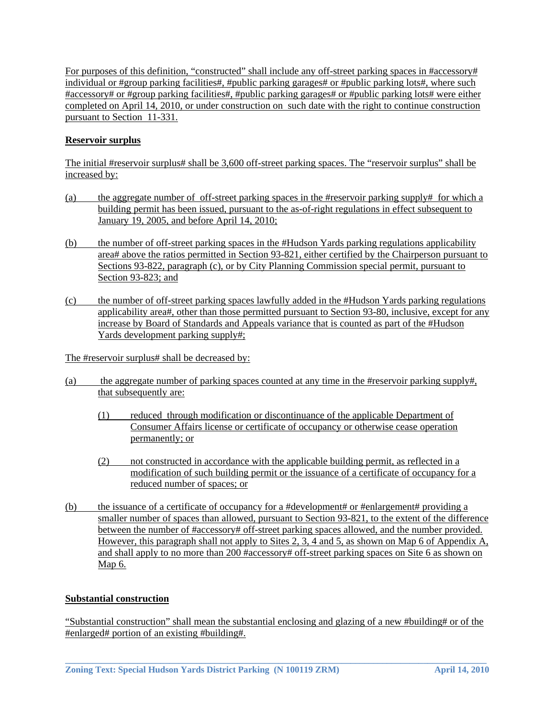For purposes of this definition, "constructed" shall include any off-street parking spaces in #accessory# individual or #group parking facilities#, #public parking garages# or #public parking lots#, where such #accessory# or #group parking facilities#, #public parking garages# or #public parking lots# were either completed on April 14, 2010, or under construction on such date with the right to continue construction pursuant to Section 11-331.

# **Reservoir surplus**

The initial #reservoir surplus# shall be 3,600 off-street parking spaces. The "reservoir surplus" shall be increased by:

- (a) the aggregate number of off-street parking spaces in the #reservoir parking supply# for which a building permit has been issued, pursuant to the as-of-right regulations in effect subsequent to January 19, 2005, and before April 14, 2010;
- (b) the number of off-street parking spaces in the #Hudson Yards parking regulations applicability area# above the ratios permitted in Section 93-821, either certified by the Chairperson pursuant to Sections 93-822, paragraph (c), or by City Planning Commission special permit, pursuant to Section 93-823; and
- (c) the number of off-street parking spaces lawfully added in the #Hudson Yards parking regulations applicability area#, other than those permitted pursuant to Section 93-80, inclusive, except for any increase by Board of Standards and Appeals variance that is counted as part of the #Hudson Yards development parking supply#;

The #reservoir surplus# shall be decreased by:

- (a) the aggregate number of parking spaces counted at any time in the #reservoir parking supply#, that subsequently are:
	- (1) reduced through modification or discontinuance of the applicable Department of Consumer Affairs license or certificate of occupancy or otherwise cease operation permanently; or
	- (2) not constructed in accordance with the applicable building permit, as reflected in a modification of such building permit or the issuance of a certificate of occupancy for a reduced number of spaces; or
- (b) the issuance of a certificate of occupancy for a #development# or #enlargement# providing a smaller number of spaces than allowed, pursuant to Section 93-821, to the extent of the difference between the number of #accessory# off-street parking spaces allowed, and the number provided. However, this paragraph shall not apply to Sites 2, 3, 4 and 5, as shown on Map 6 of Appendix A, and shall apply to no more than 200 #accessory# off-street parking spaces on Site 6 as shown on Map 6.

### **Substantial construction**

"Substantial construction" shall mean the substantial enclosing and glazing of a new #building# or of the #enlarged# portion of an existing #building#.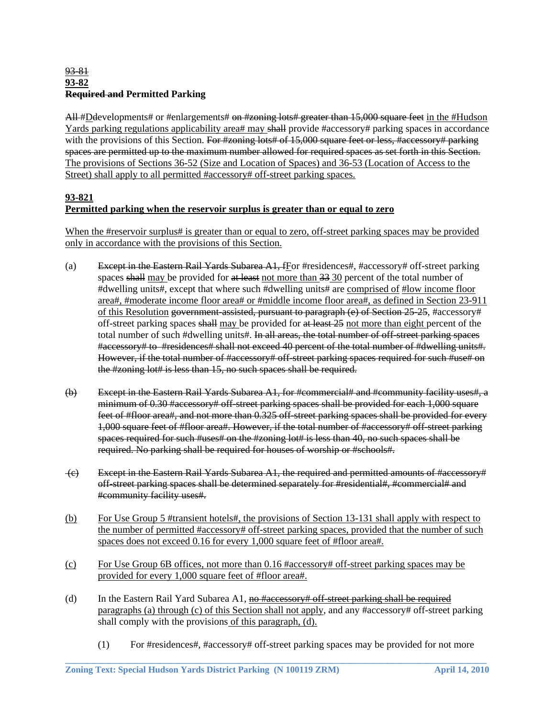### 93-81 **93-82 Required and Permitted Parking**

All #D developments # or #enlargements # on #zoning lots # greater than 15,000 square feet in the #Hudson Yards parking regulations applicability area# may shall provide #accessory# parking spaces in accordance with the provisions of this Section. For #zoning lots# of 15,000 square feet or less, #accessory# parking spaces are permitted up to the maximum number allowed for required spaces as set forth in this Section. The provisions of Sections 36-52 (Size and Location of Spaces) and 36-53 (Location of Access to the Street) shall apply to all permitted #accessory# off-street parking spaces.

# **93-821 Permitted parking when the reservoir surplus is greater than or equal to zero**

When the #reservoir surplus# is greater than or equal to zero, off-street parking spaces may be provided only in accordance with the provisions of this Section.

- (a) Except in the Eastern Rail Yards Subarea  $A1$ ,  $fE$  are #residences#, #accessory# off-street parking spaces shall may be provided for at least not more than 33 30 percent of the total number of #dwelling units#, except that where such #dwelling units# are comprised of #low income floor area#, #moderate income floor area# or #middle income floor area#, as defined in Section 23-911 of this Resolution government-assisted, pursuant to paragraph (e) of Section 25-25, #accessory# off-street parking spaces shall may be provided for at least 25 not more than eight percent of the total number of such #dwelling units#. In all areas, the total number of off-street parking spaces #accessory# to #residences# shall not exceed 40 percent of the total number of #dwelling units#. However, if the total number of #accessory# off-street parking spaces required for such #use# on the #zoning lot# is less than 15, no such spaces shall be required.
- (b) Except in the Eastern Rail Yards Subarea A1, for #commercial# and #community facility uses#, a minimum of 0.30 #accessory# off-street parking spaces shall be provided for each 1,000 square feet of #floor area#, and not more than 0.325 off-street parking spaces shall be provided for every 1,000 square feet of #floor area#. However, if the total number of #accessory# off-street parking spaces required for such #uses# on the #zoning lot# is less than 40, no such spaces shall be required. No parking shall be required for houses of worship or #schools#.
- (c) Except in the Eastern Rail Yards Subarea A1, the required and permitted amounts of #accessory# off-street parking spaces shall be determined separately for #residential#, #commercial# and #community facility uses#.
- (b) For Use Group 5 #transient hotels#, the provisions of Section 13-131 shall apply with respect to the number of permitted #accessory# off-street parking spaces, provided that the number of such spaces does not exceed 0.16 for every 1,000 square feet of #floor area#.
- (c) For Use Group 6B offices, not more than 0.16 #accessory# off-street parking spaces may be provided for every 1,000 square feet of #floor area#.
- (d) In the Eastern Rail Yard Subarea A1, no  $\frac{H}{2}$  are essent to the street parking shall be required paragraphs (a) through (c) of this Section shall not apply, and any #accessory# off-street parking shall comply with the provisions of this paragraph, (d).

**\_\_\_\_\_\_\_\_\_\_\_\_\_\_\_\_\_\_\_\_\_\_\_\_\_\_\_\_\_\_\_\_\_\_\_\_\_\_\_\_\_\_\_\_\_\_\_\_\_\_\_\_\_\_\_\_\_\_\_\_\_\_\_\_\_\_\_\_\_\_\_\_\_\_\_\_\_\_\_\_\_\_\_\_\_\_\_\_\_\_\_\_\_** 

(1) For #residences#, #accessory# off-street parking spaces may be provided for not more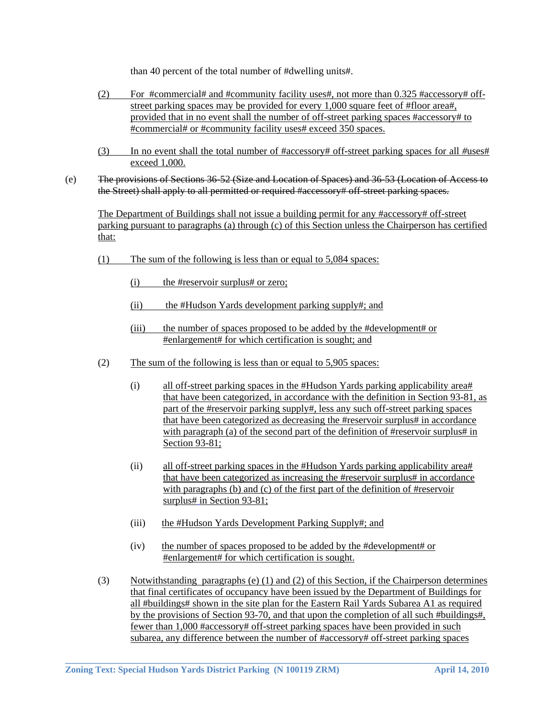than 40 percent of the total number of #dwelling units#.

- (2) For #commercial# and #community facility uses#, not more than  $0.325$  #accessory# offstreet parking spaces may be provided for every 1,000 square feet of #floor area#, provided that in no event shall the number of off-street parking spaces #accessory# to #commercial# or #community facility uses# exceed 350 spaces.
- (3) In no event shall the total number of #accessory# off-street parking spaces for all *#*uses# exceed 1,000.
- (e) The provisions of Sections 36-52 (Size and Location of Spaces) and 36-53 (Location of Access to the Street) shall apply to all permitted or required #accessory# off-street parking spaces.

 The Department of Buildings shall not issue a building permit for any #accessory# off-street parking pursuant to paragraphs (a) through (c) of this Section unless the Chairperson has certified that:

- (1) The sum of the following is less than or equal to 5,084 spaces:
	- (i) the #reservoir surplus# or zero;
	- (ii) the #Hudson Yards development parking supply#; and
	- (iii) the number of spaces proposed to be added by the #development# or #enlargement# for which certification is sought; and
- (2) The sum of the following is less than or equal to 5,905 spaces:
	- (i) all off-street parking spaces in the #Hudson Yards parking applicability area# that have been categorized, in accordance with the definition in Section 93-81, as part of the #reservoir parking supply#, less any such off-street parking spaces that have been categorized as decreasing the #reservoir surplus# in accordance with paragraph (a) of the second part of the definition of #reservoir surplus# in Section 93-81;
	- (ii) all off-street parking spaces in the #Hudson Yards parking applicability area# that have been categorized as increasing the #reservoir surplus# in accordance with paragraphs (b) and (c) of the first part of the definition of #reservoir surplus# in Section 93-81;
	- (iii) the #Hudson Yards Development Parking Supply#; and
	- (iv) the number of spaces proposed to be added by the #development# or #enlargement# for which certification is sought.
- (3) Notwithstanding paragraphs (e) (1) and (2) of this Section, if the Chairperson determines that final certificates of occupancy have been issued by the Department of Buildings for all #buildings# shown in the site plan for the Eastern Rail Yards Subarea A1 as required by the provisions of Section 93-70, and that upon the completion of all such #buildings#, fewer than 1,000 #accessory# off-street parking spaces have been provided in such subarea, any difference between the number of #accessory# off-street parking spaces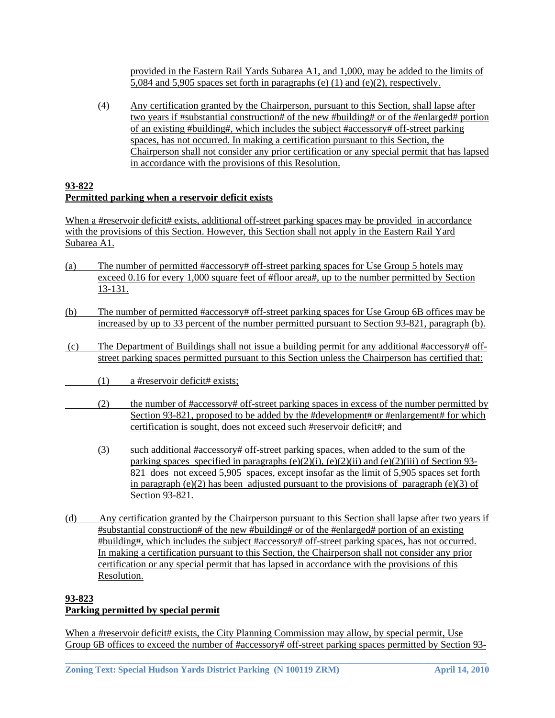provided in the Eastern Rail Yards Subarea A1, and 1,000, may be added to the limits of 5,084 and 5,905 spaces set forth in paragraphs (e) (1) and (e)(2), respectively.

(4) Any certification granted by the Chairperson, pursuant to this Section, shall lapse after two years if #substantial construction# of the new #building# or of the #enlarged# portion of an existing #building#, which includes the subject #accessory# off-street parking spaces, has not occurred. In making a certification pursuant to this Section, the Chairperson shall not consider any prior certification or any special permit that has lapsed in accordance with the provisions of this Resolution.

# **93-822 Permitted parking when a reservoir deficit exists**

When a #reservoir deficit# exists, additional off-street parking spaces may be provided in accordance with the provisions of this Section. However, this Section shall not apply in the Eastern Rail Yard Subarea A1.

- (a) The number of permitted #accessory# off-street parking spaces for Use Group 5 hotels may exceed 0.16 for every 1,000 square feet of #floor area#, up to the number permitted by Section 13-131.
- (b) The number of permitted #accessory# off-street parking spaces for Use Group 6B offices may be increased by up to 33 percent of the number permitted pursuant to Section 93-821, paragraph (b).
- (c) The Department of Buildings shall not issue a building permit for any additional #accessory# offstreet parking spaces permitted pursuant to this Section unless the Chairperson has certified that:
- (1) a #reservoir deficit# exists;
- (2) the number of #accessory# off-street parking spaces in excess of the number permitted by Section 93-821, proposed to be added by the #development# or #enlargement# for which certification is sought, does not exceed such #reservoir deficit#; and
	- (3) such additional #accessory# off-street parking spaces, when added to the sum of the parking spaces specified in paragraphs  $(e)(2)(i)$ ,  $(e)(2)(ii)$  and  $(e)(2)(iii)$  of Section 93-821 does not exceed 5,905 spaces, except insofar as the limit of 5,905 spaces set forth in paragraph  $(e)(2)$  has been adjusted pursuant to the provisions of paragraph  $(e)(3)$  of Section 93-821.
- (d) Any certification granted by the Chairperson pursuant to this Section shall lapse after two years if #substantial construction# of the new #building# or of the #enlarged# portion of an existing #building#, which includes the subject #accessory# off-street parking spaces, has not occurred. In making a certification pursuant to this Section, the Chairperson shall not consider any prior certification or any special permit that has lapsed in accordance with the provisions of this Resolution.

# **93-823 Parking permitted by special permit**

When a #reservoir deficit# exists, the City Planning Commission may allow, by special permit, Use Group 6B offices to exceed the number of #accessory# off-street parking spaces permitted by Section 93-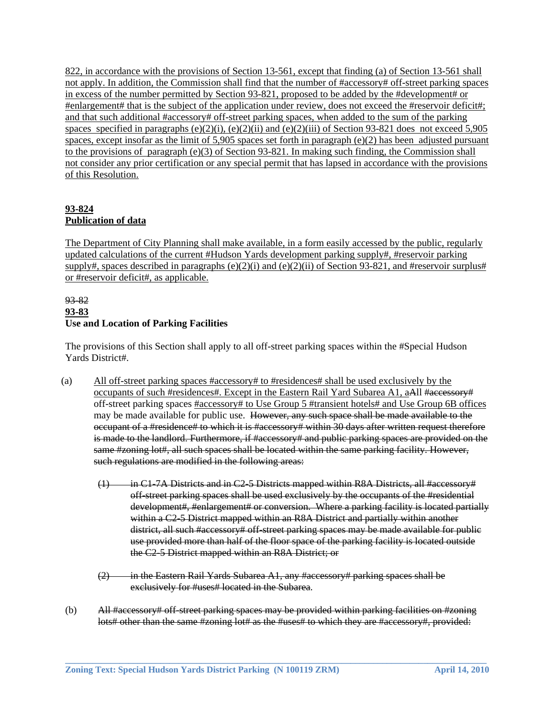822, in accordance with the provisions of Section 13-561, except that finding (a) of Section 13-561 shall not apply. In addition, the Commission shall find that the number of #accessory# off-street parking spaces in excess of the number permitted by Section 93-821, proposed to be added by the #development# or #enlargement# that is the subject of the application under review, does not exceed the #reservoir deficit#; and that such additional #accessory# off-street parking spaces, when added to the sum of the parking spaces specified in paragraphs (e)(2)(i), (e)(2)(ii) and (e)(2)(iii) of Section 93-821 does not exceed 5,905 spaces, except insofar as the limit of 5,905 spaces set forth in paragraph (e)(2) has been adjusted pursuant to the provisions of paragraph (e)(3) of Section 93-821. In making such finding, the Commission shall not consider any prior certification or any special permit that has lapsed in accordance with the provisions of this Resolution.

# **93-824 Publication of data**

The Department of City Planning shall make available, in a form easily accessed by the public, regularly updated calculations of the current #Hudson Yards development parking supply#, #reservoir parking supply#, spaces described in paragraphs  $(e)(2)(i)$  and  $(e)(2)(ii)$  of Section 93-821, and #reservoir surplus# or #reservoir deficit#, as applicable.

# 93-82 **93-83 Use and Location of Parking Facilities**

The provisions of this Section shall apply to all off-street parking spaces within the #Special Hudson Yards District#.

- (a) All off-street parking spaces #accessory# to #residences# shall be used exclusively by the occupants of such #residences#. Except in the Eastern Rail Yard Subarea A1, aAll #accessory# off-street parking spaces #accessory# to Use Group 5 #transient hotels# and Use Group 6B offices may be made available for public use. However, any such space shall be made available to the occupant of a #residence# to which it is #accessory# within 30 days after written request therefore is made to the landlord. Furthermore, if #accessory# and public parking spaces are provided on the same #zoning lot#, all such spaces shall be located within the same parking facility. However, such regulations are modified in the following areas:
	- (1) in C1-7A Districts and in C2-5 Districts mapped within R8A Districts, all #accessory# off-street parking spaces shall be used exclusively by the occupants of the #residential development#, #enlargement# or conversion. Where a parking facility is located partially within a C2-5 District mapped within an R8A District and partially within another district, all such #accessory# off-street parking spaces may be made available for public use provided more than half of the floor space of the parking facility is located outside the C2-5 District mapped within an R8A District; or
	- $(2)$  in the Eastern Rail Yards Subarea A1, any #accessory# parking spaces shall be exclusively for #uses# located in the Subarea.
- (b) All #accessory# off-street parking spaces may be provided within parking facilities on #zoning lots# other than the same #zoning lot# as the #uses# to which they are #accessory#, provided: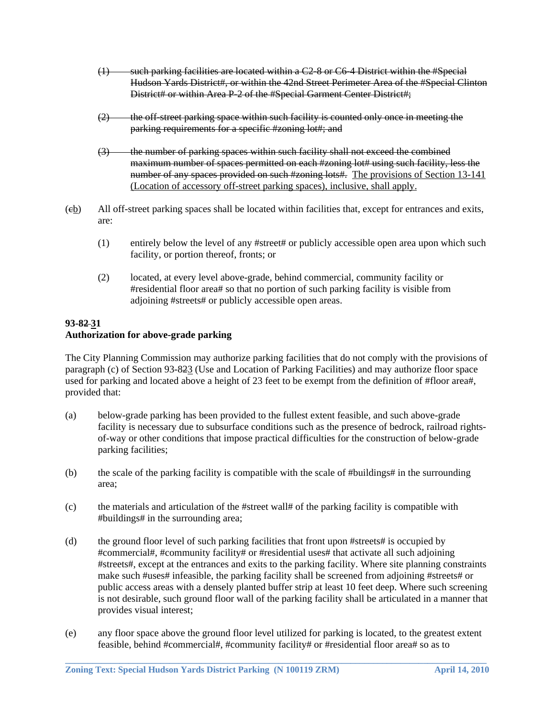- (1) such parking facilities are located within a C2-8 or C6-4 District within the #Special Hudson Yards District#, or within the 42nd Street Perimeter Area of the #Special Clinton District# or within Area P-2 of the #Special Garment Center District#;
- $(2)$  the off-street parking space within such facility is counted only once in meeting the parking requirements for a specific #zoning lot#; and
- (3) the number of parking spaces within such facility shall not exceed the combined maximum number of spaces permitted on each #zoning lot# using such facility, less the number of any spaces provided on such #zoning lots#. The provisions of Section 13-141 (Location of accessory off-street parking spaces), inclusive, shall apply.
- (cb) All off-street parking spaces shall be located within facilities that, except for entrances and exits, are:
	- (1) entirely below the level of any #street# or publicly accessible open area upon which such facility, or portion thereof, fronts; or
	- (2) located, at every level above-grade, behind commercial, community facility or #residential floor area# so that no portion of such parking facility is visible from adjoining #streets# or publicly accessible open areas.

#### **93-82 31 Authorization for above-grade parking**

The City Planning Commission may authorize parking facilities that do not comply with the provisions of paragraph (c) of Section 93-823 (Use and Location of Parking Facilities) and may authorize floor space used for parking and located above a height of 23 feet to be exempt from the definition of #floor area#, provided that:

- (a) below-grade parking has been provided to the fullest extent feasible, and such above-grade facility is necessary due to subsurface conditions such as the presence of bedrock, railroad rightsof-way or other conditions that impose practical difficulties for the construction of below-grade parking facilities;
- (b) the scale of the parking facility is compatible with the scale of #buildings# in the surrounding area;
- (c) the materials and articulation of the #street wall# of the parking facility is compatible with #buildings# in the surrounding area;
- (d) the ground floor level of such parking facilities that front upon #streets# is occupied by #commercial#, #community facility# or #residential uses# that activate all such adjoining #streets#, except at the entrances and exits to the parking facility. Where site planning constraints make such #uses# infeasible, the parking facility shall be screened from adjoining #streets# or public access areas with a densely planted buffer strip at least 10 feet deep. Where such screening is not desirable, such ground floor wall of the parking facility shall be articulated in a manner that provides visual interest;
- (e) any floor space above the ground floor level utilized for parking is located, to the greatest extent feasible, behind #commercial#, #community facility# or #residential floor area# so as to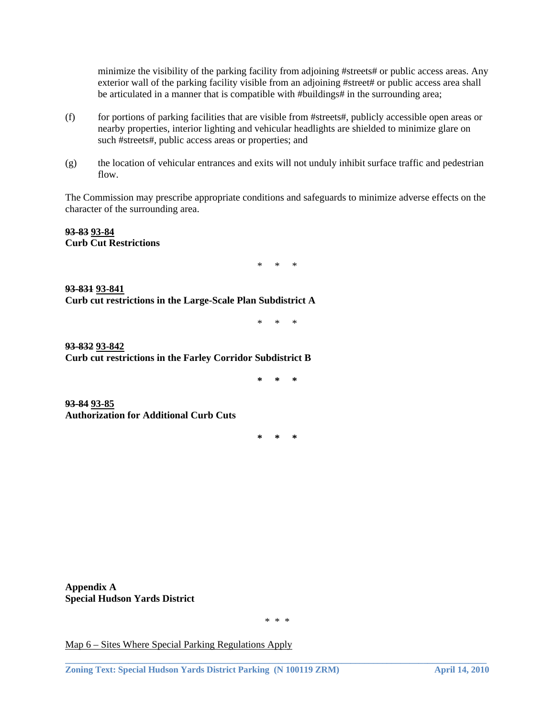minimize the visibility of the parking facility from adjoining #streets# or public access areas. Any exterior wall of the parking facility visible from an adjoining #street# or public access area shall be articulated in a manner that is compatible with #buildings# in the surrounding area;

- (f) for portions of parking facilities that are visible from #streets#, publicly accessible open areas or nearby properties, interior lighting and vehicular headlights are shielded to minimize glare on such #streets#, public access areas or properties; and
- (g) the location of vehicular entrances and exits will not unduly inhibit surface traffic and pedestrian flow.

The Commission may prescribe appropriate conditions and safeguards to minimize adverse effects on the character of the surrounding area.

**93-83 93-84 Curb Cut Restrictions** 

\* \* \*

**93-831 93-841 Curb cut restrictions in the Large-Scale Plan Subdistrict A** 

\* \* \*

**93-832 93-842 Curb cut restrictions in the Farley Corridor Subdistrict B** 

**\* \* \*** 

**93-84 93-85 Authorization for Additional Curb Cuts** 

**\* \* \*** 

**Appendix A Special Hudson Yards District**

\* \* \*

**\_\_\_\_\_\_\_\_\_\_\_\_\_\_\_\_\_\_\_\_\_\_\_\_\_\_\_\_\_\_\_\_\_\_\_\_\_\_\_\_\_\_\_\_\_\_\_\_\_\_\_\_\_\_\_\_\_\_\_\_\_\_\_\_\_\_\_\_\_\_\_\_\_\_\_\_\_\_\_\_\_\_\_\_\_\_\_\_\_\_\_\_\_** 

Map 6 – Sites Where Special Parking Regulations Apply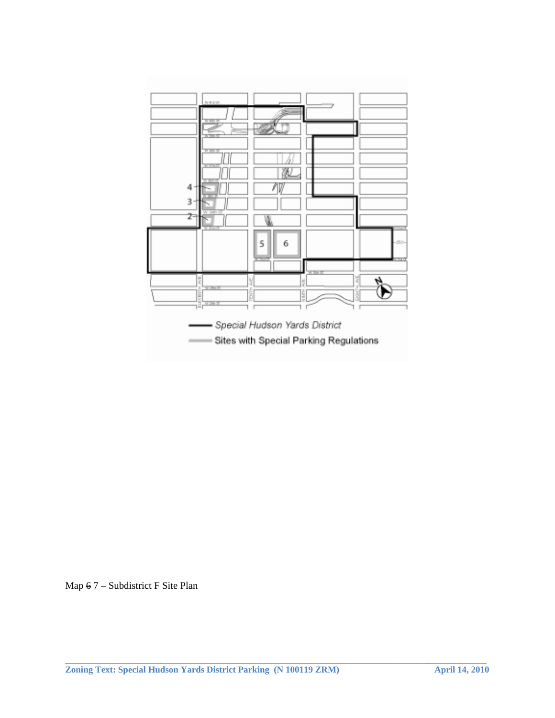

Map  $6$   $7$  – Subdistrict F Site Plan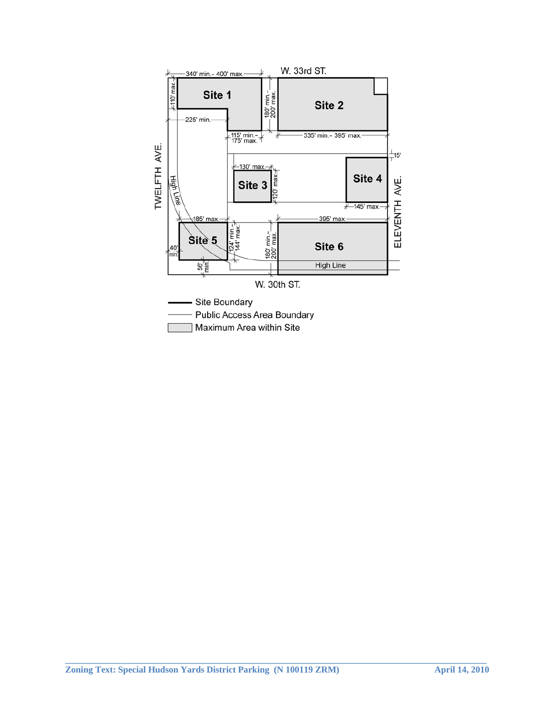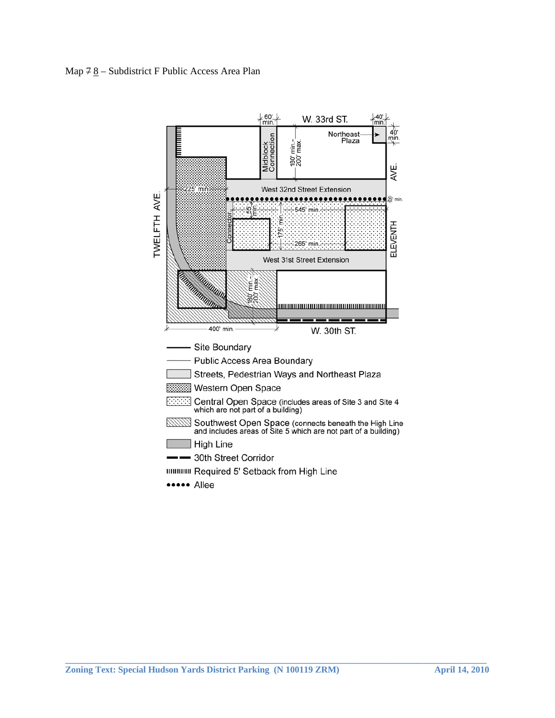### Map  $78 -$  Subdistrict F Public Access Area Plan

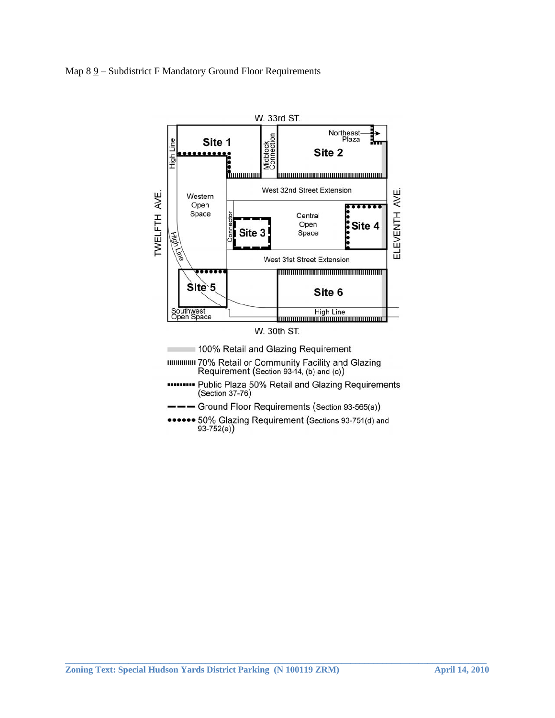### Map 8 9 – Subdistrict F Mandatory Ground Floor Requirements



. 50% Glazing Requirement (Sections 93-751(d) and  $93-752(e)$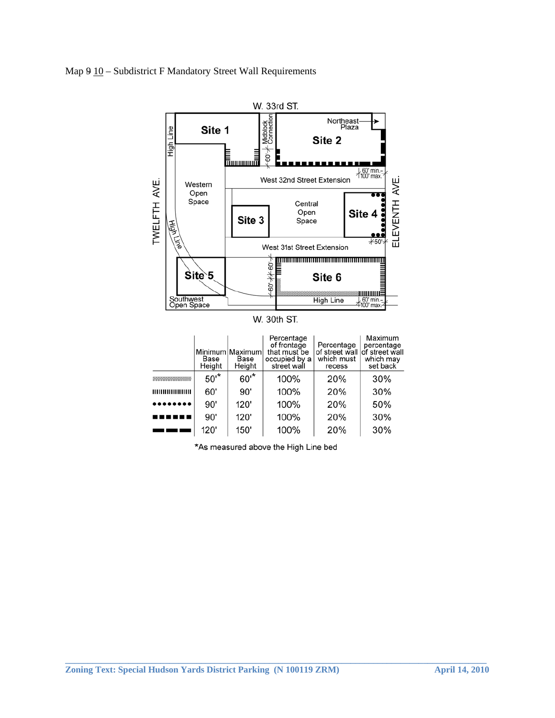Map 9  $\underline{10}$  – Subdistrict F Mandatory Street Wall Requirements



W. 30th ST.

|                         | Base<br>Height | Minimum Maximum<br>Base<br>Height | Percentage<br>of frontage<br>that must be<br>occupied by a<br>street wall | Percentage<br>of street wall of street wall<br>which must<br>recess | Maximum<br>percentage<br>which may<br>set back |
|-------------------------|----------------|-----------------------------------|---------------------------------------------------------------------------|---------------------------------------------------------------------|------------------------------------------------|
| ,,,,,,,,,,,,,,,,,,,,,,, | $50^*$         | $60^{*}$                          | 100%                                                                      | 20%                                                                 | 30%                                            |
| ,,,,,,,,,,,,,,,,,,,     | 60'            | 90'                               | 100%                                                                      | 20%                                                                 | 30%                                            |
| .                       | 90'            | 120'                              | 100%                                                                      | 20%                                                                 | 50%                                            |
|                         | 90'            | 120'                              | 100%                                                                      | 20%                                                                 | 30%                                            |
|                         | 120'           | 150'                              | 100%                                                                      | 20%                                                                 | 30%                                            |

\*As measured above the High Line bed